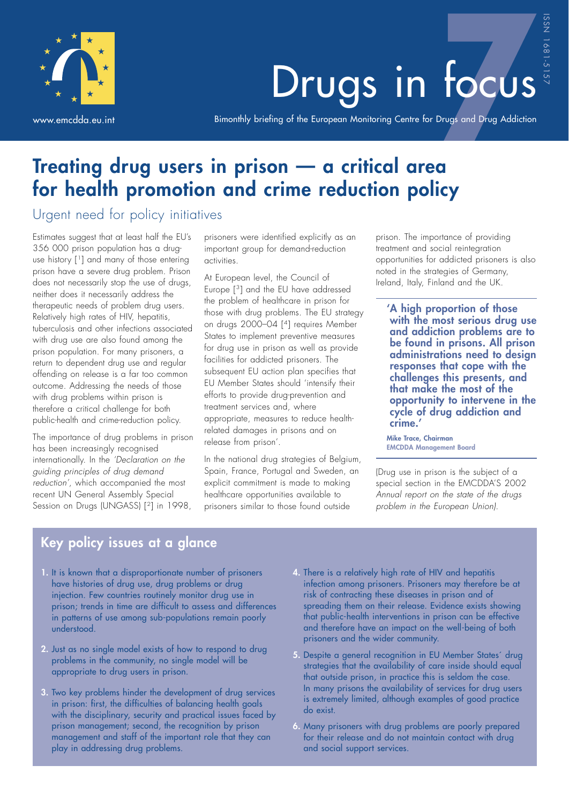

# Drugs in focus

Bimonthly briefing of the European Monitoring Centre for Drugs and Drug Addiction

# **Treating drug users in prison — a critical area for health promotion and crime reduction policy**

### Urgent need for policy initiatives

Estimates suggest that at least half the EU's 356 000 prison population has a druguse history [1] and many of those entering prison have a severe drug problem. Prison does not necessarily stop the use of drugs, neither does it necessarily address the therapeutic needs of problem drug users. Relatively high rates of HIV, hepatitis, tuberculosis and other infections associated with drug use are also found among the prison population. For many prisoners, a return to dependent drug use and regular offending on release is a far too common outcome. Addressing the needs of those with drug problems within prison is therefore a critical challenge for both public-health and crime-reduction policy.

The importance of drug problems in prison has been increasingly recognised internationally. In the *'Declaration on the guiding principles of drug demand reduction'*, which accompanied the most recent UN General Assembly Special Session on Drugs (UNGASS) [<sup>2</sup>] in 1998,

prisoners were identified explicitly as an important group for demand-reduction activities.

At European level, the Council of Europe [3] and the EU have addressed the problem of healthcare in prison for those with drug problems. The EU strategy on drugs 2000–04 [4] requires Member States to implement preventive measures for drug use in prison as well as provide facilities for addicted prisoners. The subsequent EU action plan specifies that EU Member States should 'intensify their efforts to provide drug-prevention and treatment services and, where appropriate, measures to reduce healthrelated damages in prisons and on release from prison'.

In the national drug strategies of Belgium, Spain, France, Portugal and Sweden, an explicit commitment is made to making healthcare opportunities available to prisoners similar to those found outside

prison. The importance of providing treatment and social reintegration opportunities for addicted prisoners is also noted in the strategies of Germany, Ireland, Italy, Finland and the UK.

**'A high proportion of those with the most serious drug use and addiction problems are to be found in prisons. All prison administrations need to design responses that cope with the challenges this presents, and that make the most of the opportunity to intervene in the cycle of drug addiction and crime.'**

**Mike Trace, Chairman EMCDDA Management Board**

(Drug use in prison is the subject of a special section in the EMCDDA'S 2002 *Annual report on the state of the drugs problem in the European Union)*.

# **Key policy issues at a glance**

- **1.** It is known that a disproportionate number of prisoners have histories of drug use, drug problems or drug injection. Few countries routinely monitor drug use in prison; trends in time are difficult to assess and differences in patterns of use among sub-populations remain poorly understood.
- **2.** Just as no single model exists of how to respond to drug problems in the community, no single model will be appropriate to drug users in prison.
- **3.** Two key problems hinder the development of drug services in prison: first, the difficulties of balancing health goals with the disciplinary, security and practical issues faced by prison management; second, the recognition by prison management and staff of the important role that they can play in addressing drug problems.
- **4.** There is a relatively high rate of HIV and hepatitis infection among prisoners. Prisoners may therefore be at risk of contracting these diseases in prison and of spreading them on their release. Evidence exists showing that public-health interventions in prison can be effective and therefore have an impact on the well-being of both prisoners and the wider community.
- **5.** Despite a general recognition in EU Member States´ drug strategies that the availability of care inside should equal that outside prison, in practice this is seldom the case. In many prisons the availability of services for drug users is extremely limited, although examples of good practice do exist.
- **6.** Many prisoners with drug problems are poorly prepared for their release and do not maintain contact with drug and social support services.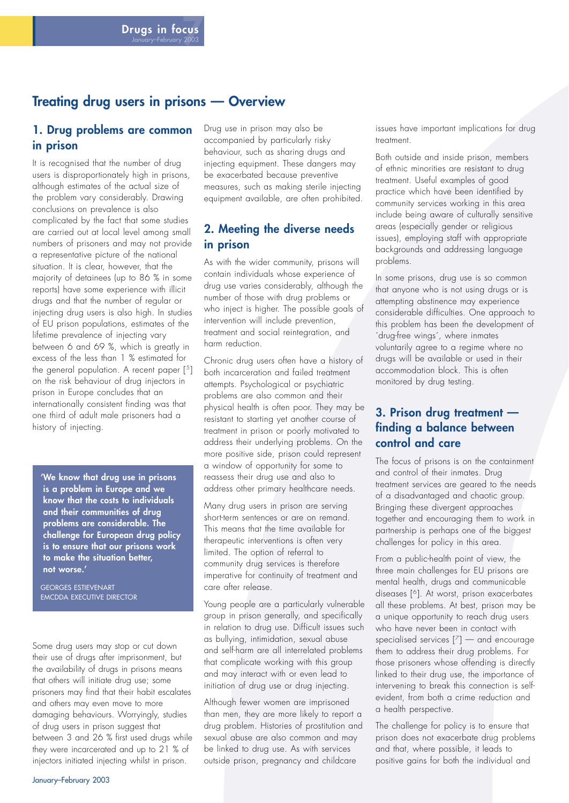#### **Treating drug users in prisons — Overview**

#### **1. Drug problems are common in prison**

It is recognised that the number of drug users is disproportionately high in prisons, although estimates of the actual size of the problem vary considerably. Drawing conclusions on prevalence is also complicated by the fact that some studies are carried out at local level among small numbers of prisoners and may not provide a representative picture of the national situation. It is clear, however, that the majority of detainees (up to 86 % in some reports) have some experience with illicit drugs and that the number of regular or injecting drug users is also high. In studies of EU prison populations, estimates of the lifetime prevalence of injecting vary between 6 and 69 %, which is greatly in excess of the less than 1 % estimated for the general population. A recent paper  $[5]$ on the risk behaviour of drug injectors in prison in Europe concludes that an internationally consistent finding was that one third of adult male prisoners had a history of injecting.

**'We know that drug use in prisons is a problem in Europe and we know that the costs to individuals and their communities of drug problems are considerable. The challenge for European drug policy is to ensure that our prisons work to make the situation better, not worse.'**

GEORGES ESTIEVENART EMCDDA EXECUTIVE DIRECTOR

Some drug users may stop or cut down their use of drugs after imprisonment, but the availability of drugs in prisons means that others will initiate drug use; some prisoners may find that their habit escalates and others may even move to more damaging behaviours. Worryingly, studies of drug users in prison suggest that between 3 and 26 % first used drugs while they were incarcerated and up to 21 % of injectors initiated injecting whilst in prison.

Drug use in prison may also be accompanied by particularly risky behaviour, such as sharing drugs and injecting equipment. These dangers may be exacerbated because preventive measures, such as making sterile injecting equipment available, are often prohibited.

#### **2. Meeting the diverse needs in prison**

As with the wider community, prisons will contain individuals whose experience of drug use varies considerably, although the number of those with drug problems or who inject is higher. The possible goals of intervention will include prevention, treatment and social reintegration, and harm reduction.

Chronic drug users often have a history of both incarceration and failed treatment attempts. Psychological or psychiatric problems are also common and their physical health is often poor. They may be resistant to starting yet another course of treatment in prison or poorly motivated to address their underlying problems. On the more positive side, prison could represent a window of opportunity for some to reassess their drug use and also to address other primary healthcare needs.

Many drug users in prison are serving short-term sentences or are on remand. This means that the time available for therapeutic interventions is often very limited. The option of referral to community drug services is therefore imperative for continuity of treatment and care after release.

Young people are a particularly vulnerable group in prison generally, and specifically in relation to drug use. Difficult issues such as bullying, intimidation, sexual abuse and self-harm are all interrelated problems that complicate working with this group and may interact with or even lead to initiation of drug use or drug injecting.

Although fewer women are imprisoned than men, they are more likely to report a drug problem. Histories of prostitution and sexual abuse are also common and may be linked to drug use. As with services outside prison, pregnancy and childcare

issues have important implications for drug treatment.

Both outside and inside prison, members of ethnic minorities are resistant to drug treatment. Useful examples of good practice which have been identified by community services working in this area include being aware of culturally sensitive areas (especially gender or religious issues), employing staff with appropriate backgrounds and addressing language problems.

In some prisons, drug use is so common that anyone who is not using drugs or is attempting abstinence may experience considerable difficulties. One approach to this problem has been the development of ´drug-free wings´, where inmates voluntarily agree to a regime where no drugs will be available or used in their accommodation block. This is often monitored by drug testing.

#### **3. Prison drug treatment finding a balance between control and care**

The focus of prisons is on the containment and control of their inmates. Drug treatment services are geared to the needs of a disadvantaged and chaotic group. Bringing these divergent approaches together and encouraging them to work in partnership is perhaps one of the biggest challenges for policy in this area.

From a public-health point of view, the three main challenges for EU prisons are mental health, drugs and communicable diseases [6]. At worst, prison exacerbates all these problems. At best, prison may be a unique opportunity to reach drug users who have never been in contact with specialised services [7] — and encourage them to address their drug problems. For those prisoners whose offending is directly linked to their drug use, the importance of intervening to break this connection is selfevident, from both a crime reduction and a health perspective.

The challenge for policy is to ensure that prison does not exacerbate drug problems and that, where possible, it leads to positive gains for both the individual and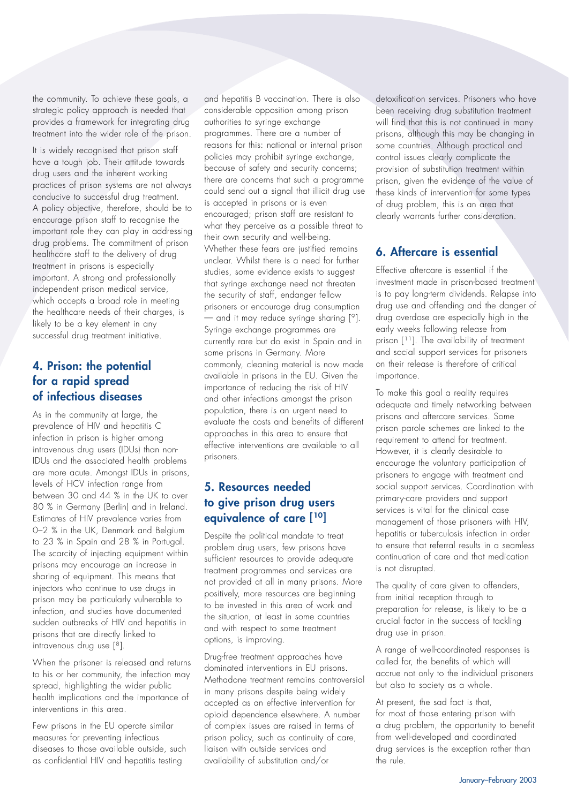the community. To achieve these goals, a strategic policy approach is needed that provides a framework for integrating drug treatment into the wider role of the prison.

It is widely recognised that prison staff have a tough job. Their attitude towards drug users and the inherent working practices of prison systems are not always conducive to successful drug treatment. A policy objective, therefore, should be to encourage prison staff to recognise the important role they can play in addressing drug problems. The commitment of prison healthcare staff to the delivery of drug treatment in prisons is especially important. A strong and professionally independent prison medical service, which accepts a broad role in meeting the healthcare needs of their charges, is likely to be a key element in any successful drug treatment initiative.

#### **4. Prison: the potential for a rapid spread of infectious diseases**

As in the community at large, the prevalence of HIV and hepatitis C infection in prison is higher among intravenous drug users (IDUs) than non-IDUs and the associated health problems are more acute. Amongst IDUs in prisons, levels of HCV infection range from between 30 and 44 % in the UK to over 80 % in Germany (Berlin) and in Ireland. Estimates of HIV prevalence varies from 0–2 % in the UK, Denmark and Belgium to 23 % in Spain and 28 % in Portugal. The scarcity of injecting equipment within prisons may encourage an increase in sharing of equipment. This means that injectors who continue to use drugs in prison may be particularly vulnerable to infection, and studies have documented sudden outbreaks of HIV and hepatitis in prisons that are directly linked to intravenous drug use [8].

When the prisoner is released and returns to his or her community, the infection may spread, highlighting the wider public health implications and the importance of interventions in this area.

Few prisons in the EU operate similar measures for preventing infectious diseases to those available outside, such as confidential HIV and hepatitis testing

and hepatitis B vaccination. There is also considerable opposition among prison authorities to syringe exchange programmes. There are a number of reasons for this: national or internal prison policies may prohibit syringe exchange, because of safety and security concerns; there are concerns that such a programme could send out a signal that illicit drug use is accepted in prisons or is even encouraged; prison staff are resistant to what they perceive as a possible threat to their own security and well-being. Whether these fears are justified remains unclear. Whilst there is a need for further studies, some evidence exists to suggest that syringe exchange need not threaten the security of staff, endanger fellow prisoners or encourage drug consumption  $-$  and it may reduce syringe sharing  $[°]$ . Syringe exchange programmes are currently rare but do exist in Spain and in some prisons in Germany. More commonly, cleaning material is now made available in prisons in the EU. Given the importance of reducing the risk of HIV and other infections amongst the prison population, there is an urgent need to evaluate the costs and benefits of different approaches in this area to ensure that effective interventions are available to all prisoners.

#### **5. Resources needed to give prison drug users equivalence of care [10]**

Despite the political mandate to treat problem drug users, few prisons have sufficient resources to provide adequate treatment programmes and services are not provided at all in many prisons. More positively, more resources are beginning to be invested in this area of work and the situation, at least in some countries and with respect to some treatment options, is improving.

Drug-free treatment approaches have dominated interventions in EU prisons. Methadone treatment remains controversial in many prisons despite being widely accepted as an effective intervention for opioid dependence elsewhere. A number of complex issues are raised in terms of prison policy, such as continuity of care, liaison with outside services and availability of substitution and/or

detoxification services. Prisoners who have been receiving drug substitution treatment will find that this is not continued in many prisons, although this may be changing in some countries. Although practical and control issues clearly complicate the provision of substitution treatment within prison, given the evidence of the value of these kinds of intervention for some types of drug problem, this is an area that clearly warrants further consideration.

#### **6. Aftercare is essential**

Effective aftercare is essential if the investment made in prison-based treatment is to pay long-term dividends. Relapse into drug use and offending and the danger of drug overdose are especially high in the early weeks following release from prison [<sup>11</sup>]. The availability of treatment and social support services for prisoners on their release is therefore of critical importance.

To make this goal a reality requires adequate and timely networking between prisons and aftercare services. Some prison parole schemes are linked to the requirement to attend for treatment. However, it is clearly desirable to encourage the voluntary participation of prisoners to engage with treatment and social support services. Coordination with primary-care providers and support services is vital for the clinical case management of those prisoners with HIV, hepatitis or tuberculosis infection in order to ensure that referral results in a seamless continuation of care and that medication is not disrupted.

The quality of care given to offenders, from initial reception through to preparation for release, is likely to be a crucial factor in the success of tackling drug use in prison.

A range of well-coordinated responses is called for, the benefits of which will accrue not only to the individual prisoners but also to society as a whole.

At present, the sad fact is that, for most of those entering prison with a drug problem, the opportunity to benefit from well-developed and coordinated drug services is the exception rather than the rule.